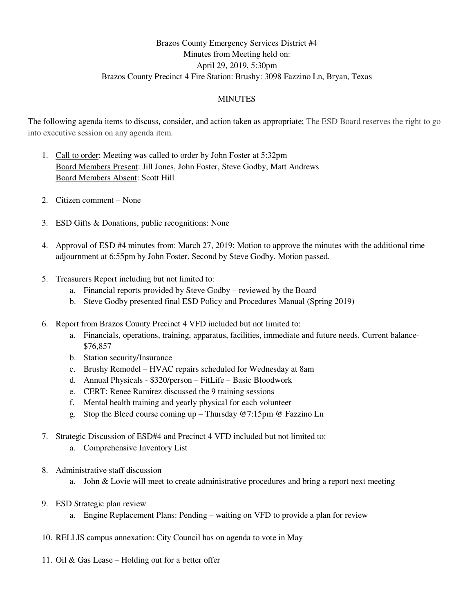## Brazos County Emergency Services District #4 Minutes from Meeting held on: April 29, 2019, 5:30pm Brazos County Precinct 4 Fire Station: Brushy: 3098 Fazzino Ln, Bryan, Texas

## MINUTES

The following agenda items to discuss, consider, and action taken as appropriate; The ESD Board reserves the right to go into executive session on any agenda item.

- 1. Call to order: Meeting was called to order by John Foster at 5:32pm Board Members Present: Jill Jones, John Foster, Steve Godby, Matt Andrews Board Members Absent: Scott Hill
- 2. Citizen comment None
- 3. ESD Gifts & Donations, public recognitions: None
- 4. Approval of ESD #4 minutes from: March 27, 2019: Motion to approve the minutes with the additional time adjournment at 6:55pm by John Foster. Second by Steve Godby. Motion passed.
- 5. Treasurers Report including but not limited to:
	- a. Financial reports provided by Steve Godby reviewed by the Board
	- b. Steve Godby presented final ESD Policy and Procedures Manual (Spring 2019)
- 6. Report from Brazos County Precinct 4 VFD included but not limited to:
	- a. Financials, operations, training, apparatus, facilities, immediate and future needs. Current balance- \$76,857
	- b. Station security/Insurance
	- c. Brushy Remodel HVAC repairs scheduled for Wednesday at 8am
	- d. Annual Physicals \$320/person FitLife Basic Bloodwork
	- e. CERT: Renee Ramirez discussed the 9 training sessions
	- f. Mental health training and yearly physical for each volunteer
	- g. Stop the Bleed course coming up Thursday  $@7:15$ pm  $@$  Fazzino Ln
- 7. Strategic Discussion of ESD#4 and Precinct 4 VFD included but not limited to:
	- a. Comprehensive Inventory List
- 8. Administrative staff discussion
	- a. John & Lovie will meet to create administrative procedures and bring a report next meeting
- 9. ESD Strategic plan review
	- a. Engine Replacement Plans: Pending waiting on VFD to provide a plan for review
- 10. RELLIS campus annexation: City Council has on agenda to vote in May
- 11. Oil & Gas Lease Holding out for a better offer